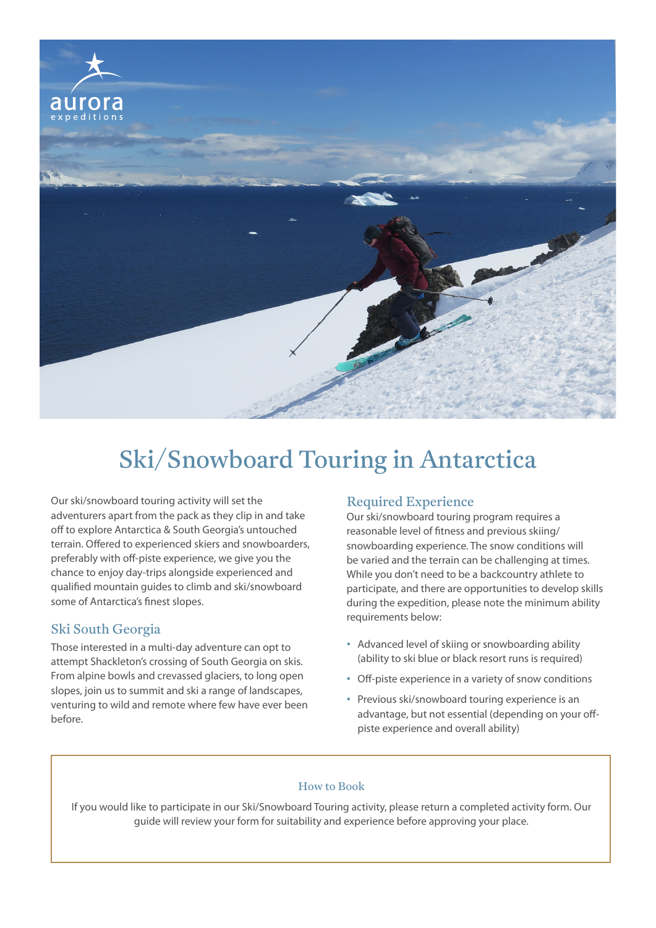

Our ski/snowboard touring activity will set the adventurers apart from the pack as they clip in and take off to explore Antarctica & South Georgia's untouched terrain. Offered to experienced skiers and snowboarders, preferably with off-piste experience, we give you the chance to enjoy day-trips alongside experienced and qualified mountain guides to climb and ski/snowboard some of Antarctica's finest slopes.

#### Ski South Georgia

Those interested in a multi-day adventure can opt to attempt Shackleton's crossing of South Georgia on skis. From alpine bowls and crevassed glaciers, to long open slopes, join us to summit and ski a range of landscapes, venturing to wild and remote where few have ever been before.

## Required Experience

Our ski/snowboard touring program requires a reasonable level of fitness and previous skiing/ snowboarding experience. The snow conditions will be varied and the terrain can be challenging at times. While you don't need to be a backcountry athlete to participate, and there are opportunities to develop skills during the expedition, please note the minimum ability requirements below:

- Advanced level of skiing or snowboarding ability (ability to ski blue or black resort runs is required)
- Off-piste experience in a variety of snow conditions
- Previous ski/snowboard touring experience is an advantage, but not essential (depending on your offpiste experience and overall ability)

#### How to Book

If you would like to participate in our Ski/Snowboard Touring activity, please return a completed activity form. Our guide will review your form for suitability and experience before approving your place.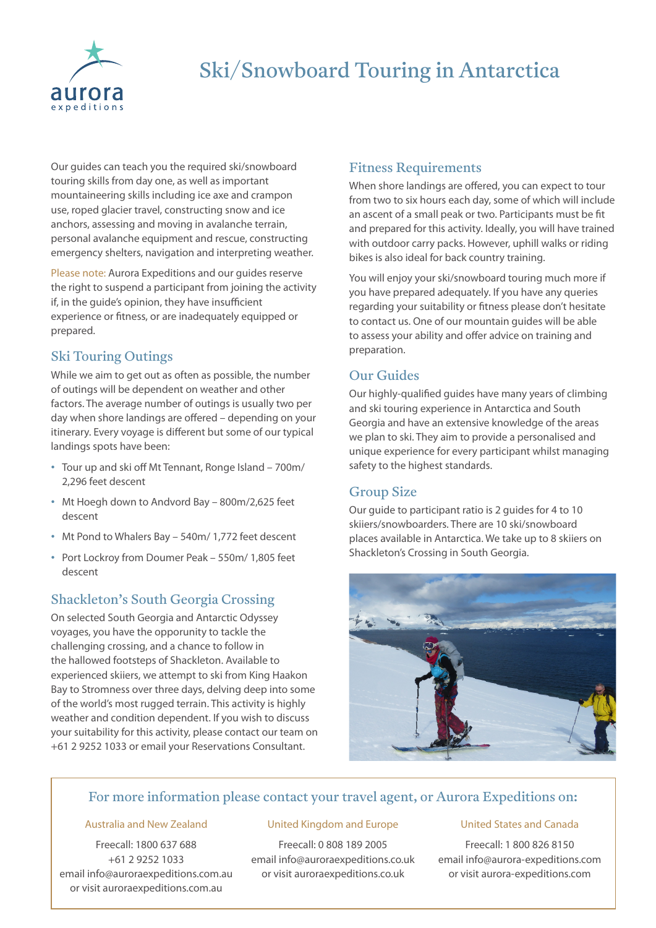

Our guides can teach you the required ski/snowboard touring skills from day one, as well as important mountaineering skills including ice axe and crampon use, roped glacier travel, constructing snow and ice anchors, assessing and moving in avalanche terrain, personal avalanche equipment and rescue, constructing emergency shelters, navigation and interpreting weather.

Please note: Aurora Expeditions and our guides reserve the right to suspend a participant from joining the activity if, in the guide's opinion, they have insufficient experience or fitness, or are inadequately equipped or prepared.

### Ski Touring Outings

While we aim to get out as often as possible, the number of outings will be dependent on weather and other factors. The average number of outings is usually two per day when shore landings are offered – depending on your itinerary. Every voyage is different but some of our typical landings spots have been:

- Tour up and ski off Mt Tennant, Ronge Island 700m/ 2,296 feet descent
- Mt Hoegh down to Andvord Bay 800m/2,625 feet descent
- Mt Pond to Whalers Bay 540m/ 1,772 feet descent
- Port Lockroy from Doumer Peak 550m/ 1,805 feet descent

#### Shackleton's South Georgia Crossing

On selected South Georgia and Antarctic Odyssey voyages, you have the opporunity to tackle the challenging crossing, and a chance to follow in the hallowed footsteps of Shackleton. Available to experienced skiiers, we attempt to ski from King Haakon Bay to Stromness over three days, delving deep into some of the world's most rugged terrain. This activity is highly weather and condition dependent. If you wish to discuss your suitability for this activity, please contact our team on +61 2 9252 1033 or email your Reservations Consultant.

#### Fitness Requirements

When shore landings are offered, you can expect to tour from two to six hours each day, some of which will include an ascent of a small peak or two. Participants must be fit and prepared for this activity. Ideally, you will have trained with outdoor carry packs. However, uphill walks or riding bikes is also ideal for back country training.

You will enjoy your ski/snowboard touring much more if you have prepared adequately. If you have any queries regarding your suitability or fitness please don't hesitate to contact us. One of our mountain guides will be able to assess your ability and offer advice on training and preparation.

## Our Guides

Our highly-qualified guides have many years of climbing and ski touring experience in Antarctica and South Georgia and have an extensive knowledge of the areas we plan to ski. They aim to provide a personalised and unique experience for every participant whilst managing safety to the highest standards.

## Group Size

Our guide to participant ratio is 2 guides for 4 to 10 skiiers/snowboarders. There are 10 ski/snowboard places available in Antarctica. We take up to 8 skiiers on Shackleton's Crossing in South Georgia.



## For more information please contact your travel agent, or Aurora Expeditions on:

#### Australia and New Zealand

Freecall: 1800 637 688 +61 2 9252 1033 email info@auroraexpeditions.com.au or visit auroraexpeditions.com.au

#### United Kingdom and Europe

Freecall: 0 808 189 2005 email info@auroraexpeditions.co.uk or visit auroraexpeditions.co.uk

#### United States and Canada

Freecall: 1 800 826 8150 email info@aurora-expeditions.com or visit aurora-expeditions.com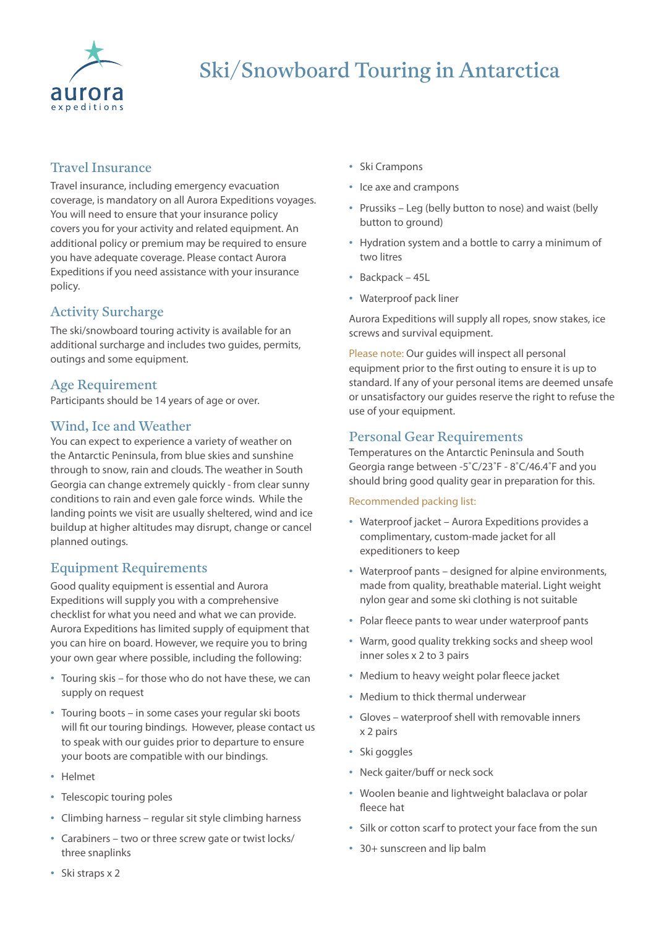

## Travel Insurance

Travel insurance, including emergency evacuation coverage, is mandatory on all Aurora Expeditions voyages. You will need to ensure that your insurance policy covers you for your activity and related equipment. An additional policy or premium may be required to ensure you have adequate coverage. Please contact Aurora Expeditions if you need assistance with your insurance policy.

# Activity Surcharge

The ski/snowboard touring activity is available for an additional surcharge and includes two guides, permits, outings and some equipment.

#### Age Requirement

Participants should be 14 years of age or over.

### Wind, Ice and Weather

You can expect to experience a variety of weather on the Antarctic Peninsula, from blue skies and sunshine through to snow, rain and clouds. The weather in South Georgia can change extremely quickly - from clear sunny conditions to rain and even gale force winds. While the landing points we visit are usually sheltered, wind and ice buildup at higher altitudes may disrupt, change or cancel planned outings.

# Equipment Requirements

Good quality equipment is essential and Aurora Expeditions will supply you with a comprehensive checklist for what you need and what we can provide. Aurora Expeditions has limited supply of equipment that you can hire on board. However, we require you to bring your own gear where possible, including the following:

- Touring skis for those who do not have these, we can supply on request
- Touring boots in some cases your regular ski boots will fit our touring bindings. However, please contact us to speak with our guides prior to departure to ensure your boots are compatible with our bindings.
- Helmet
- Telescopic touring poles
- Climbing harness regular sit style climbing harness
- Carabiners two or three screw gate or twist locks/ three snaplinks
- Ski Crampons
- Ice axe and crampons
- Prussiks Leg (belly button to nose) and waist (belly button to ground)
- Hydration system and a bottle to carry a minimum of two litres
- Backpack 45L
- Waterproof pack liner

Aurora Expeditions will supply all ropes, snow stakes, ice screws and survival equipment.

Please note: Our guides will inspect all personal equipment prior to the first outing to ensure it is up to standard. If any of your personal items are deemed unsafe or unsatisfactory our guides reserve the right to refuse the use of your equipment.

### Personal Gear Requirements

Temperatures on the Antarctic Peninsula and South Georgia range between -5˚C/23˚F - 8˚C/46.4˚F and you should bring good quality gear in preparation for this.

#### Recommended packing list:

- Waterproof jacket Aurora Expeditions provides a complimentary, custom-made jacket for all expeditioners to keep
- Waterproof pants designed for alpine environments, made from quality, breathable material. Light weight nylon gear and some ski clothing is not suitable
- Polar fleece pants to wear under waterproof pants
- Warm, good quality trekking socks and sheep wool inner soles x 2 to 3 pairs
- Medium to heavy weight polar fleece jacket
- Medium to thick thermal underwear
- Gloves waterproof shell with removable inners x 2 pairs
- Ski goggles
- Neck gaiter/buff or neck sock
- Woolen beanie and lightweight balaclava or polar fleece hat
- Silk or cotton scarf to protect your face from the sun
- 30+ sunscreen and lip balm

• Ski straps x 2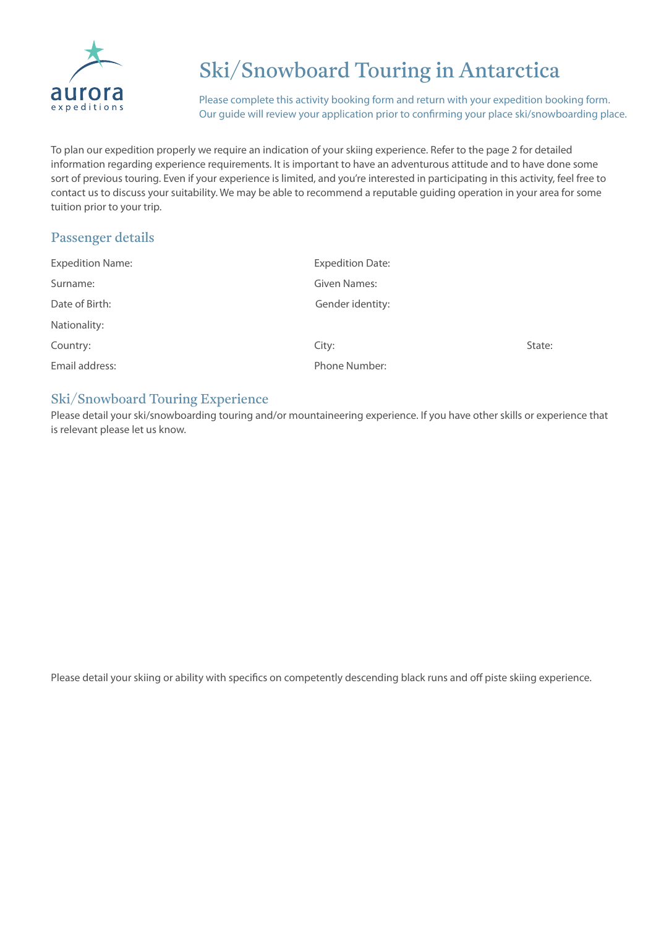

Please complete this activity booking form and return with your expedition booking form. Our guide will review your application prior to confirming your place ski/snowboarding place.

To plan our expedition properly we require an indication of your skiing experience. Refer to the page 2 for detailed information regarding experience requirements. It is important to have an adventurous attitude and to have done some sort of previous touring. Even if your experience is limited, and you're interested in participating in this activity, feel free to contact us to discuss your suitability. We may be able to recommend a reputable guiding operation in your area for some tuition prior to your trip.

# Passenger details

| <b>Expedition Name:</b> | <b>Expedition Date:</b> |        |
|-------------------------|-------------------------|--------|
| Surname:                | Given Names:            |        |
| Date of Birth:          | Gender identity:        |        |
| Nationality:            |                         |        |
| Country:                | City:                   | State: |
| Email address:          | Phone Number:           |        |

## Ski/Snowboard Touring Experience

Please detail your ski/snowboarding touring and/or mountaineering experience. If you have other skills or experience that is relevant please let us know.

Please detail your skiing or ability with specifics on competently descending black runs and off piste skiing experience.